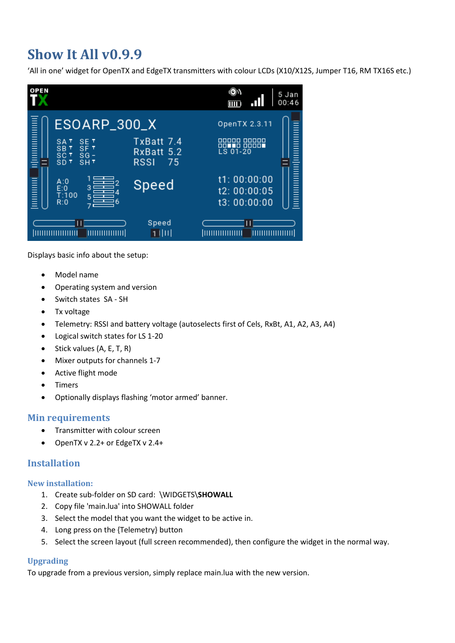# **Show It All v0.9.9**

'All in one' widget for OpenTX and EdgeTX transmitters with colour LCDs (X10/X12S, Jumper T16, RM TX16S etc.)



Displays basic info about the setup:

- Model name
- Operating system and version
- Switch states SA SH
- Tx voltage
- Telemetry: RSSI and battery voltage (autoselects first of Cels, RxBt, A1, A2, A3, A4)
- Logical switch states for LS 1-20
- Stick values (A, E, T, R)
- Mixer outputs for channels 1-7
- Active flight mode
- Timers
- Optionally displays flashing 'motor armed' banner.

## **Min requirements**

- Transmitter with colour screen
- OpenTX v 2.2+ or EdgeTX v 2.4+

## **Installation**

#### **New installation:**

- 1. Create sub-folder on SD card: \WIDGETS\**SHOWALL**
- 2. Copy file 'main.lua' into SHOWALL folder
- 3. Select the model that you want the widget to be active in.
- 4. Long press on the {Telemetry} button
- 5. Select the screen layout (full screen recommended), then configure the widget in the normal way.

## **Upgrading**

To upgrade from a previous version, simply replace main.lua with the new version.